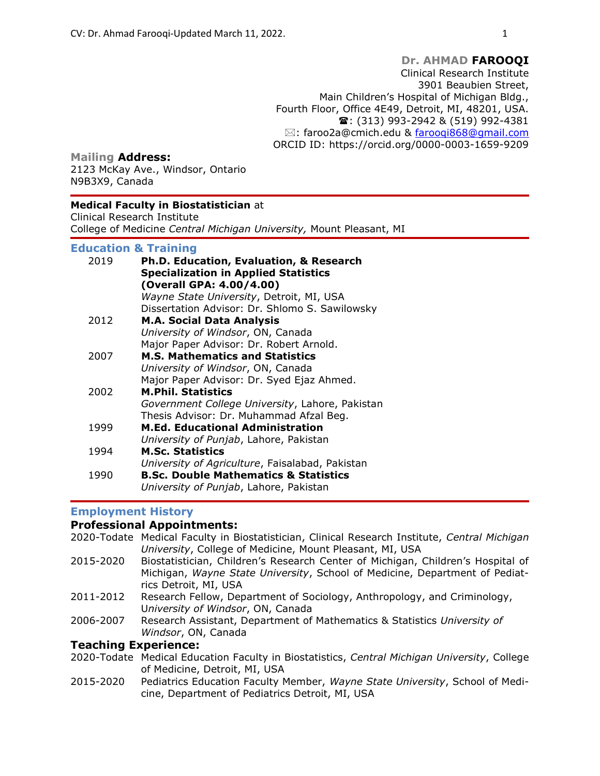#### Mailing Address:

2123 McKay Ave., Windsor, Ontario N9B3X9, Canada

#### Medical Faculty in Biostatistician at

Clinical Research Institute College of Medicine Central Michigan University, Mount Pleasant, MI

#### Education & Training

| 2019 | Ph.D. Education, Evaluation, & Research<br><b>Specialization in Applied Statistics</b><br>(Overall GPA: 4.00/4.00) |
|------|--------------------------------------------------------------------------------------------------------------------|
|      | Wayne State University, Detroit, MI, USA                                                                           |
|      | Dissertation Advisor: Dr. Shlomo S. Sawilowsky                                                                     |
| 2012 | <b>M.A. Social Data Analysis</b>                                                                                   |
|      | University of Windsor, ON, Canada                                                                                  |
|      | Major Paper Advisor: Dr. Robert Arnold.                                                                            |
| 2007 | <b>M.S. Mathematics and Statistics</b>                                                                             |
|      | University of Windsor, ON, Canada                                                                                  |
|      | Major Paper Advisor: Dr. Syed Ejaz Ahmed.                                                                          |
| 2002 | <b>M.Phil. Statistics</b>                                                                                          |
|      | Government College University, Lahore, Pakistan                                                                    |
|      | Thesis Advisor: Dr. Muhammad Afzal Beg.                                                                            |
| 1999 | <b>M.Ed. Educational Administration</b>                                                                            |
|      | University of Punjab, Lahore, Pakistan                                                                             |
| 1994 | <b>M.Sc. Statistics</b>                                                                                            |
|      | University of Agriculture, Faisalabad, Pakistan                                                                    |
| 1990 | <b>B.Sc. Double Mathematics &amp; Statistics</b>                                                                   |
|      | University of Punjab, Lahore, Pakistan                                                                             |

# Employment History

# Professional Appointments:

- 2020-Todate Medical Faculty in Biostatistician, Clinical Research Institute, Central Michigan University, College of Medicine, Mount Pleasant, MI, USA
- 2015-2020 Biostatistician, Children's Research Center of Michigan, Children's Hospital of Michigan, Wayne State University, School of Medicine, Department of Pediatrics Detroit, MI, USA
- 2011-2012 Research Fellow, Department of Sociology, Anthropology, and Criminology, University of Windsor, ON, Canada
- 2006-2007 Research Assistant, Department of Mathematics & Statistics University of Windsor, ON, Canada

# Teaching Experience:

- 2020-Todate Medical Education Faculty in Biostatistics, Central Michigan University, College of Medicine, Detroit, MI, USA
- 2015-2020 Pediatrics Education Faculty Member, Wayne State University, School of Medicine, Department of Pediatrics Detroit, MI, USA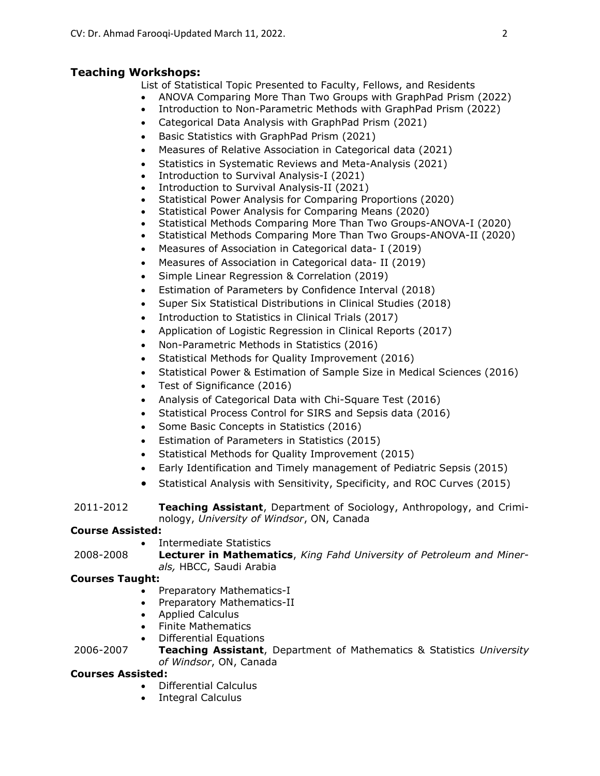# Teaching Workshops:

- List of Statistical Topic Presented to Faculty, Fellows, and Residents
- ANOVA Comparing More Than Two Groups with GraphPad Prism (2022)
- Introduction to Non-Parametric Methods with GraphPad Prism (2022)
- Categorical Data Analysis with GraphPad Prism (2021)
- Basic Statistics with GraphPad Prism (2021)
- Measures of Relative Association in Categorical data (2021)
- Statistics in Systematic Reviews and Meta-Analysis (2021)
- Introduction to Survival Analysis-I (2021)
- Introduction to Survival Analysis-II (2021)
- Statistical Power Analysis for Comparing Proportions (2020)
- Statistical Power Analysis for Comparing Means (2020)
- Statistical Methods Comparing More Than Two Groups-ANOVA-I (2020)
- Statistical Methods Comparing More Than Two Groups-ANOVA-II (2020)
- Measures of Association in Categorical data- I (2019)
- Measures of Association in Categorical data- II (2019)
- Simple Linear Regression & Correlation (2019)
- Estimation of Parameters by Confidence Interval (2018)
- Super Six Statistical Distributions in Clinical Studies (2018)
- Introduction to Statistics in Clinical Trials (2017)
- Application of Logistic Regression in Clinical Reports (2017)
- Non-Parametric Methods in Statistics (2016)
- Statistical Methods for Quality Improvement (2016)
- Statistical Power & Estimation of Sample Size in Medical Sciences (2016)
- Test of Significance (2016)
- Analysis of Categorical Data with Chi-Square Test (2016)
- Statistical Process Control for SIRS and Sepsis data (2016)
- Some Basic Concepts in Statistics (2016)
- Estimation of Parameters in Statistics (2015)
- Statistical Methods for Quality Improvement (2015)
- Early Identification and Timely management of Pediatric Sepsis (2015)
- Statistical Analysis with Sensitivity, Specificity, and ROC Curves (2015)

2011-2012 **Teaching Assistant**, Department of Sociology, Anthropology, and Criminology, University of Windsor, ON, Canada

# Course Assisted:

• Intermediate Statistics

2008-2008 Lecturer in Mathematics, King Fahd University of Petroleum and Minerals, HBCC, Saudi Arabia

# Courses Taught:

- Preparatory Mathematics-I
- Preparatory Mathematics-II
- Applied Calculus
- Finite Mathematics
- Differential Equations

2006-2007 **Teaching Assistant**, Department of Mathematics & Statistics University of Windsor, ON, Canada

# Courses Assisted:

- Differential Calculus
- Integral Calculus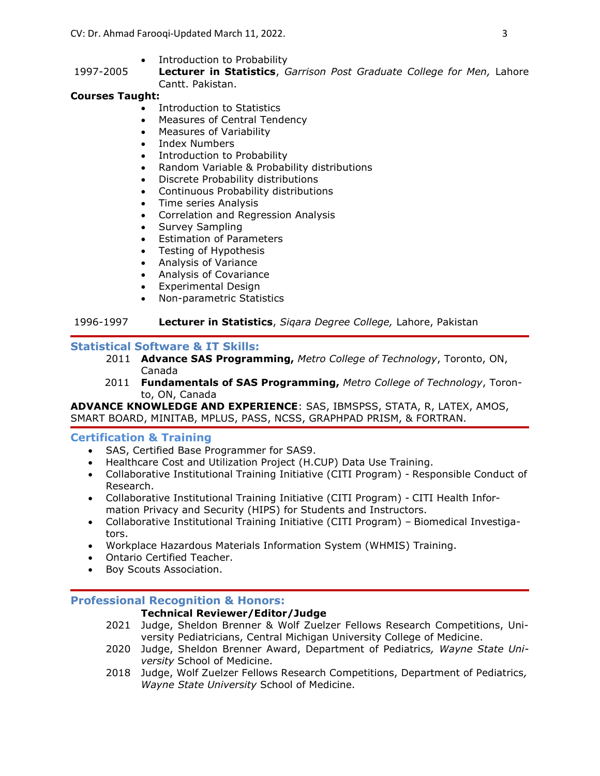- Introduction to Probability
- 1997-2005 Lecturer in Statistics, Garrison Post Graduate College for Men, Lahore Cantt. Pakistan.

# Courses Taught:

- Introduction to Statistics
- Measures of Central Tendency
- Measures of Variability
- Index Numbers
- Introduction to Probability
- Random Variable & Probability distributions
- Discrete Probability distributions
- Continuous Probability distributions
- Time series Analysis
- Correlation and Regression Analysis
- Survey Sampling
- Estimation of Parameters
- Testing of Hypothesis
- Analysis of Variance
- Analysis of Covariance
- Experimental Design
- Non-parametric Statistics

# 1996-1997 Lecturer in Statistics, Sigara Degree College, Lahore, Pakistan

# Statistical Software & IT Skills:

- 2011 Advance SAS Programming, Metro College of Technology, Toronto, ON, Canada
- 2011 Fundamentals of SAS Programming, Metro College of Technology, Toronto, ON, Canada

ADVANCE KNOWLEDGE AND EXPERIENCE: SAS, IBMSPSS, STATA, R, LATEX, AMOS, SMART BOARD, MINITAB, MPLUS, PASS, NCSS, GRAPHPAD PRISM, & FORTRAN.

#### Certification & Training

- SAS, Certified Base Programmer for SAS9.
- Healthcare Cost and Utilization Project (H.CUP) Data Use Training.
- Collaborative Institutional Training Initiative (CITI Program) Responsible Conduct of Research.
- Collaborative Institutional Training Initiative (CITI Program) CITI Health Information Privacy and Security (HIPS) for Students and Instructors.
- Collaborative Institutional Training Initiative (CITI Program) Biomedical Investigators.
- Workplace Hazardous Materials Information System (WHMIS) Training.
- Ontario Certified Teacher.
- Boy Scouts Association.

#### Professional Recognition & Honors:

# Technical Reviewer/Editor/Judge

- 2021 Judge, Sheldon Brenner & Wolf Zuelzer Fellows Research Competitions, University Pediatricians, Central Michigan University College of Medicine.
- 2020 Judge, Sheldon Brenner Award, Department of Pediatrics, Wayne State University School of Medicine.
- 2018 Judge, Wolf Zuelzer Fellows Research Competitions, Department of Pediatrics, Wayne State University School of Medicine.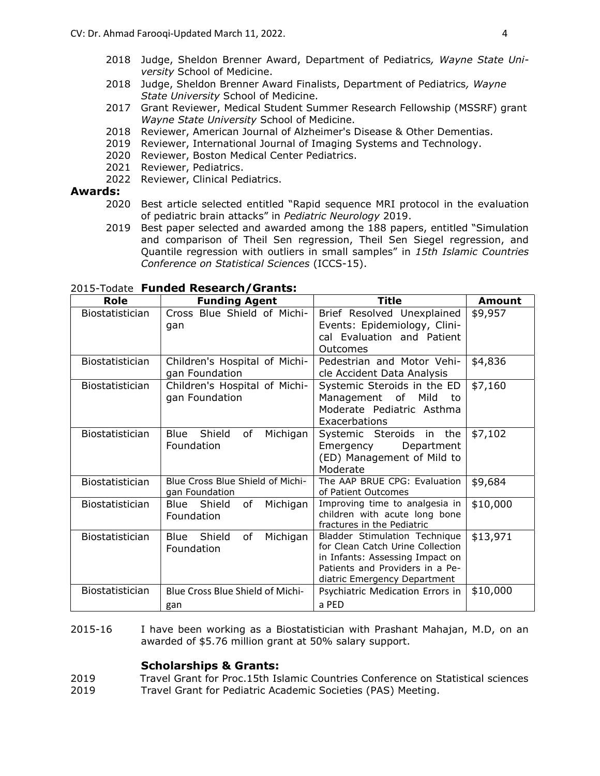- 2018 Judge, Sheldon Brenner Award, Department of Pediatrics, Wayne State University School of Medicine.
- 2018 Judge, Sheldon Brenner Award Finalists, Department of Pediatrics, Wayne State University School of Medicine.
- 2017 Grant Reviewer, Medical Student Summer Research Fellowship (MSSRF) grant Wayne State University School of Medicine.
- 2018 Reviewer, American Journal of Alzheimer's Disease & Other Dementias.
- 2019 Reviewer, International Journal of Imaging Systems and Technology.
- 2020 Reviewer, Boston Medical Center Pediatrics.
- 2021 Reviewer, Pediatrics.
- 2022 Reviewer, Clinical Pediatrics.

## Awards:

- 2020 Best article selected entitled "Rapid sequence MRI protocol in the evaluation of pediatric brain attacks" in Pediatric Neurology 2019.
- 2019 Best paper selected and awarded among the 188 papers, entitled "Simulation and comparison of Theil Sen regression, Theil Sen Siegel regression, and Quantile regression with outliers in small samples" in 15th Islamic Countries Conference on Statistical Sciences (ICCS-15).

| Role                   | <b>Funding Agent</b>                               | <b>Title</b>                                                                                                                                                            | <b>Amount</b> |
|------------------------|----------------------------------------------------|-------------------------------------------------------------------------------------------------------------------------------------------------------------------------|---------------|
| Biostatistician        | Cross Blue Shield of Michi-<br>gan                 | Brief Resolved Unexplained<br>Events: Epidemiology, Clini-<br>cal Evaluation and Patient<br>Outcomes                                                                    | \$9,957       |
| <b>Biostatistician</b> | Children's Hospital of Michi-<br>gan Foundation    | Pedestrian and Motor Vehi-<br>cle Accident Data Analysis                                                                                                                | \$4,836       |
| Biostatistician        | Children's Hospital of Michi-<br>gan Foundation    | Systemic Steroids in the ED<br>Management of<br>Mild<br>to<br>Moderate Pediatric Asthma<br>Exacerbations                                                                | \$7,160       |
| Biostatistician        | Blue Shield<br>of<br>Michigan<br>Foundation        | Systemic Steroids in the<br>Department<br>Emergency<br>(ED) Management of Mild to<br>Moderate                                                                           | \$7,102       |
| <b>Biostatistician</b> | Blue Cross Blue Shield of Michi-<br>gan Foundation | The AAP BRUE CPG: Evaluation<br>of Patient Outcomes                                                                                                                     | \$9,684       |
| Biostatistician        | Blue Shield<br>of<br>Michigan<br>Foundation        | Improving time to analgesia in<br>children with acute long bone<br>fractures in the Pediatric                                                                           | \$10,000      |
| <b>Biostatistician</b> | Blue Shield<br>of<br>Michigan<br>Foundation        | Bladder Stimulation Technique<br>for Clean Catch Urine Collection<br>in Infants: Assessing Impact on<br>Patients and Providers in a Pe-<br>diatric Emergency Department | \$13,971      |
| Biostatistician        | Blue Cross Blue Shield of Michi-<br>gan            | Psychiatric Medication Errors in<br>a PED                                                                                                                               | \$10,000      |

2015-Todate **Funded Research/Grants:** 

2015-16 I have been working as a Biostatistician with Prashant Mahajan, M.D, on an awarded of \$5.76 million grant at 50% salary support.

#### Scholarships & Grants:

2019 Travel Grant for Proc.15th Islamic Countries Conference on Statistical sciences

2019 Travel Grant for Pediatric Academic Societies (PAS) Meeting.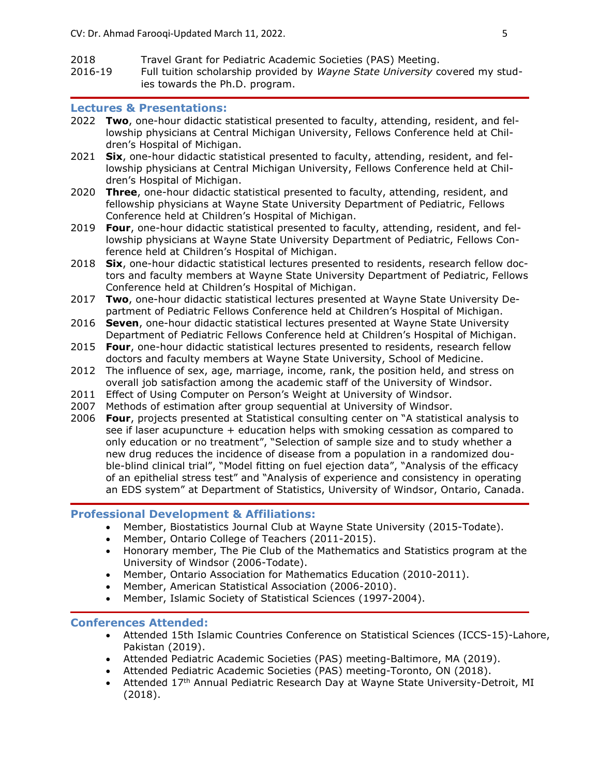- 2018 Travel Grant for Pediatric Academic Societies (PAS) Meeting.
- 2016-19 Full tuition scholarship provided by Wayne State University covered my studies towards the Ph.D. program.

### Lectures & Presentations:

- 2022 Two, one-hour didactic statistical presented to faculty, attending, resident, and fellowship physicians at Central Michigan University, Fellows Conference held at Children's Hospital of Michigan.
- 2021 Six, one-hour didactic statistical presented to faculty, attending, resident, and fellowship physicians at Central Michigan University, Fellows Conference held at Children's Hospital of Michigan.
- 2020 Three, one-hour didactic statistical presented to faculty, attending, resident, and fellowship physicians at Wayne State University Department of Pediatric, Fellows Conference held at Children's Hospital of Michigan.
- 2019 Four, one-hour didactic statistical presented to faculty, attending, resident, and fellowship physicians at Wayne State University Department of Pediatric, Fellows Conference held at Children's Hospital of Michigan.
- 2018 Six, one-hour didactic statistical lectures presented to residents, research fellow doctors and faculty members at Wayne State University Department of Pediatric, Fellows Conference held at Children's Hospital of Michigan.
- 2017 Two, one-hour didactic statistical lectures presented at Wayne State University Department of Pediatric Fellows Conference held at Children's Hospital of Michigan.
- 2016 Seven, one-hour didactic statistical lectures presented at Wayne State University Department of Pediatric Fellows Conference held at Children's Hospital of Michigan.
- 2015 Four, one-hour didactic statistical lectures presented to residents, research fellow doctors and faculty members at Wayne State University, School of Medicine.
- 2012 The influence of sex, age, marriage, income, rank, the position held, and stress on overall job satisfaction among the academic staff of the University of Windsor.
- 2011 Effect of Using Computer on Person's Weight at University of Windsor.
- 2007 Methods of estimation after group sequential at University of Windsor.
- 2006 Four, projects presented at Statistical consulting center on "A statistical analysis to see if laser acupuncture + education helps with smoking cessation as compared to only education or no treatment", "Selection of sample size and to study whether a new drug reduces the incidence of disease from a population in a randomized double-blind clinical trial", "Model fitting on fuel ejection data", "Analysis of the efficacy of an epithelial stress test" and "Analysis of experience and consistency in operating an EDS system" at Department of Statistics, University of Windsor, Ontario, Canada.

#### Professional Development & Affiliations:

- Member, Biostatistics Journal Club at Wayne State University (2015-Todate).
- Member, Ontario College of Teachers (2011-2015).
- Honorary member, The Pie Club of the Mathematics and Statistics program at the University of Windsor (2006-Todate).
- Member, Ontario Association for Mathematics Education (2010-2011).
- Member, American Statistical Association (2006-2010).
- Member, Islamic Society of Statistical Sciences (1997-2004).

#### Conferences Attended:

- Attended 15th Islamic Countries Conference on Statistical Sciences (ICCS-15)-Lahore, Pakistan (2019).
- Attended Pediatric Academic Societies (PAS) meeting-Baltimore, MA (2019).
- Attended Pediatric Academic Societies (PAS) meeting-Toronto, ON (2018).
- Attended 17<sup>th</sup> Annual Pediatric Research Day at Wayne State University-Detroit, MI (2018).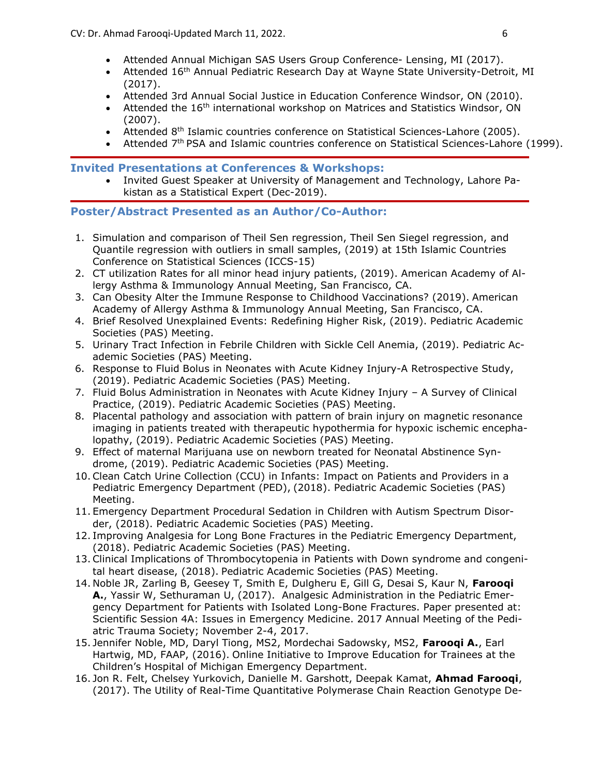- Attended Annual Michigan SAS Users Group Conference- Lensing, MI (2017).
- Attended 16<sup>th</sup> Annual Pediatric Research Day at Wayne State University-Detroit, MI (2017).
- Attended 3rd Annual Social Justice in Education Conference Windsor, ON (2010).
- Attended the 16<sup>th</sup> international workshop on Matrices and Statistics Windsor, ON (2007).
- Attended 8<sup>th</sup> Islamic countries conference on Statistical Sciences-Lahore (2005).
- Attended 7<sup>th</sup> PSA and Islamic countries conference on Statistical Sciences-Lahore (1999).

Invited Presentations at Conferences & Workshops:

 Invited Guest Speaker at University of Management and Technology, Lahore Pakistan as a Statistical Expert (Dec-2019).

# Poster/Abstract Presented as an Author/Co-Author:

- 1. Simulation and comparison of Theil Sen regression, Theil Sen Siegel regression, and Quantile regression with outliers in small samples, (2019) at 15th Islamic Countries Conference on Statistical Sciences (ICCS-15)
- 2. CT utilization Rates for all minor head injury patients, (2019). American Academy of Allergy Asthma & Immunology Annual Meeting, San Francisco, CA.
- 3. Can Obesity Alter the Immune Response to Childhood Vaccinations? (2019). American Academy of Allergy Asthma & Immunology Annual Meeting, San Francisco, CA.
- 4. Brief Resolved Unexplained Events: Redefining Higher Risk, (2019). Pediatric Academic Societies (PAS) Meeting.
- 5. Urinary Tract Infection in Febrile Children with Sickle Cell Anemia, (2019). Pediatric Academic Societies (PAS) Meeting.
- 6. Response to Fluid Bolus in Neonates with Acute Kidney Injury-A Retrospective Study, (2019). Pediatric Academic Societies (PAS) Meeting.
- 7. Fluid Bolus Administration in Neonates with Acute Kidney Injury A Survey of Clinical Practice, (2019). Pediatric Academic Societies (PAS) Meeting.
- 8. Placental pathology and association with pattern of brain injury on magnetic resonance imaging in patients treated with therapeutic hypothermia for hypoxic ischemic encephalopathy, (2019). Pediatric Academic Societies (PAS) Meeting.
- 9. Effect of maternal Marijuana use on newborn treated for Neonatal Abstinence Syndrome, (2019). Pediatric Academic Societies (PAS) Meeting.
- 10. Clean Catch Urine Collection (CCU) in Infants: Impact on Patients and Providers in a Pediatric Emergency Department (PED), (2018). Pediatric Academic Societies (PAS) Meeting.
- 11. Emergency Department Procedural Sedation in Children with Autism Spectrum Disorder, (2018). Pediatric Academic Societies (PAS) Meeting.
- 12. Improving Analgesia for Long Bone Fractures in the Pediatric Emergency Department, (2018). Pediatric Academic Societies (PAS) Meeting.
- 13. Clinical Implications of Thrombocytopenia in Patients with Down syndrome and congenital heart disease, (2018). Pediatric Academic Societies (PAS) Meeting.
- 14. Noble JR, Zarling B, Geesey T, Smith E, Dulgheru E, Gill G, Desai S, Kaur N, Faroogi A., Yassir W, Sethuraman U, (2017). Analgesic Administration in the Pediatric Emergency Department for Patients with Isolated Long-Bone Fractures. Paper presented at: Scientific Session 4A: Issues in Emergency Medicine. 2017 Annual Meeting of the Pediatric Trauma Society; November 2-4, 2017.
- 15. Jennifer Noble, MD, Daryl Tiong, MS2, Mordechai Sadowsky, MS2, Faroogi A., Earl Hartwig, MD, FAAP, (2016). Online Initiative to Improve Education for Trainees at the Children's Hospital of Michigan Emergency Department.
- 16. Jon R. Felt, Chelsey Yurkovich, Danielle M. Garshott, Deepak Kamat, Ahmad Farooqi, (2017). The Utility of Real-Time Quantitative Polymerase Chain Reaction Genotype De-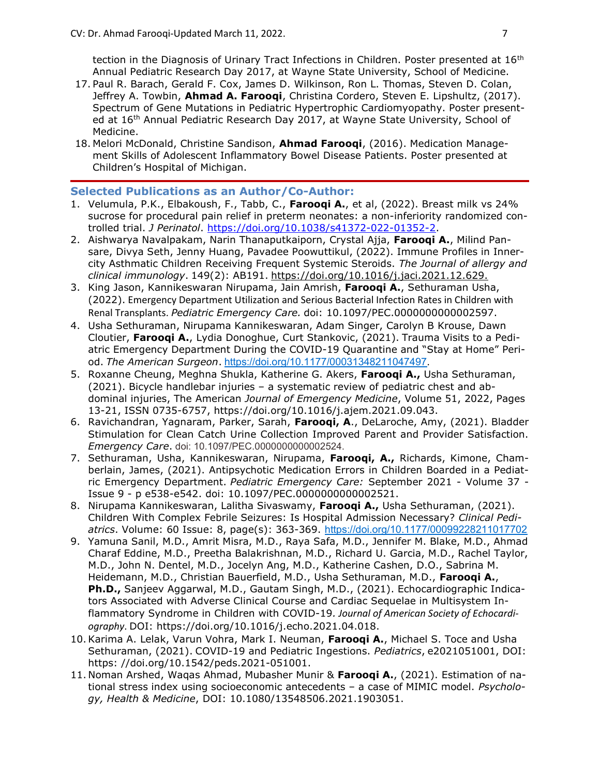tection in the Diagnosis of Urinary Tract Infections in Children. Poster presented at 16<sup>th</sup> Annual Pediatric Research Day 2017, at Wayne State University, School of Medicine.

- 17. Paul R. Barach, Gerald F. Cox, James D. Wilkinson, Ron L. Thomas, Steven D. Colan, Jeffrey A. Towbin, Ahmad A. Farooqi, Christina Cordero, Steven E. Lipshultz, (2017). Spectrum of Gene Mutations in Pediatric Hypertrophic Cardiomyopathy. Poster presented at 16th Annual Pediatric Research Day 2017, at Wayne State University, School of Medicine.
- 18. Melori McDonald, Christine Sandison, Ahmad Faroogi, (2016). Medication Management Skills of Adolescent Inflammatory Bowel Disease Patients. Poster presented at Children's Hospital of Michigan.

# Selected Publications as an Author/Co-Author:

- 1. Velumula, P.K., Elbakoush, F., Tabb, C., Farooqi A., et al, (2022). Breast milk vs 24% sucrose for procedural pain relief in preterm neonates: a non-inferiority randomized controlled trial. J Perinatol. https://doi.org/10.1038/s41372-022-01352-2.
- 2. Aishwarya Navalpakam, Narin Thanaputkaiporn, Crystal Ajja, Faroogi A., Milind Pansare, Divya Seth, Jenny Huang, Pavadee Poowuttikul, (2022). Immune Profiles in Innercity Asthmatic Children Receiving Frequent Systemic Steroids. The Journal of allergy and clinical immunology. 149(2): AB191. https://doi.org/10.1016/j.jaci.2021.12.629.
- 3. King Jason, Kannikeswaran Nirupama, Jain Amrish, Farooqi A., Sethuraman Usha, (2022). Emergency Department Utilization and Serious Bacterial Infection Rates in Children with Renal Transplants. Pediatric Emergency Care. doi: 10.1097/PEC.0000000000002597.
- 4. Usha Sethuraman, Nirupama Kannikeswaran, Adam Singer, Carolyn B Krouse, Dawn Cloutier, Faroogi A., Lydia Donoghue, Curt Stankovic, (2021). Trauma Visits to a Pediatric Emergency Department During the COVID-19 Quarantine and "Stay at Home" Period. The American Surgeon. https://doi.org/10.1177/00031348211047497.
- 5. Roxanne Cheung, Meghna Shukla, Katherine G. Akers, Faroogi A., Usha Sethuraman, (2021). Bicycle handlebar injuries – a systematic review of pediatric chest and abdominal injuries, The American Journal of Emergency Medicine, Volume 51, 2022, Pages 13-21, ISSN 0735-6757, https://doi.org/10.1016/j.ajem.2021.09.043.
- 6. Ravichandran, Yagnaram, Parker, Sarah, Faroogi, A., DeLaroche, Amy, (2021). Bladder Stimulation for Clean Catch Urine Collection Improved Parent and Provider Satisfaction. Emergency Care. doi: 10.1097/PEC.0000000000002524.
- 7. Sethuraman, Usha, Kannikeswaran, Nirupama, Farooqi, A., Richards, Kimone, Chamberlain, James, (2021). Antipsychotic Medication Errors in Children Boarded in a Pediatric Emergency Department. Pediatric Emergency Care: September 2021 - Volume 37 -Issue 9 - p e538-e542. doi: 10.1097/PEC.0000000000002521.
- 8. Nirupama Kannikeswaran, Lalitha Sivaswamy, Farooqi A., Usha Sethuraman, (2021). Children With Complex Febrile Seizures: Is Hospital Admission Necessary? Clinical Pediatrics. Volume: 60 Issue: 8, page(s): 363-369. https://doi.org/10.1177/00099228211017702
- 9. Yamuna Sanil, M.D., Amrit Misra, M.D., Raya Safa, M.D., Jennifer M. Blake, M.D., Ahmad Charaf Eddine, M.D., Preetha Balakrishnan, M.D., Richard U. Garcia, M.D., Rachel Taylor, M.D., John N. Dentel, M.D., Jocelyn Ang, M.D., Katherine Cashen, D.O., Sabrina M. Heidemann, M.D., Christian Bauerfield, M.D., Usha Sethuraman, M.D., Farooqi A., Ph.D., Sanjeev Aggarwal, M.D., Gautam Singh, M.D., (2021). Echocardiographic Indicators Associated with Adverse Clinical Course and Cardiac Sequelae in Multisystem Inflammatory Syndrome in Children with COVID-19. Journal of American Society of Echocardiography. DOI: https://doi.org/10.1016/j.echo.2021.04.018.
- 10. Karima A. Lelak, Varun Vohra, Mark I. Neuman, Farooqi A., Michael S. Toce and Usha Sethuraman, (2021). COVID-19 and Pediatric Ingestions. Pediatrics, e2021051001, DOI: https: //doi.org/10.1542/peds.2021-051001.
- 11. Noman Arshed, Waqas Ahmad, Mubasher Munir & Farooqi A., (2021). Estimation of national stress index using socioeconomic antecedents - a case of MIMIC model. Psychology, Health & Medicine, DOI: 10.1080/13548506.2021.1903051.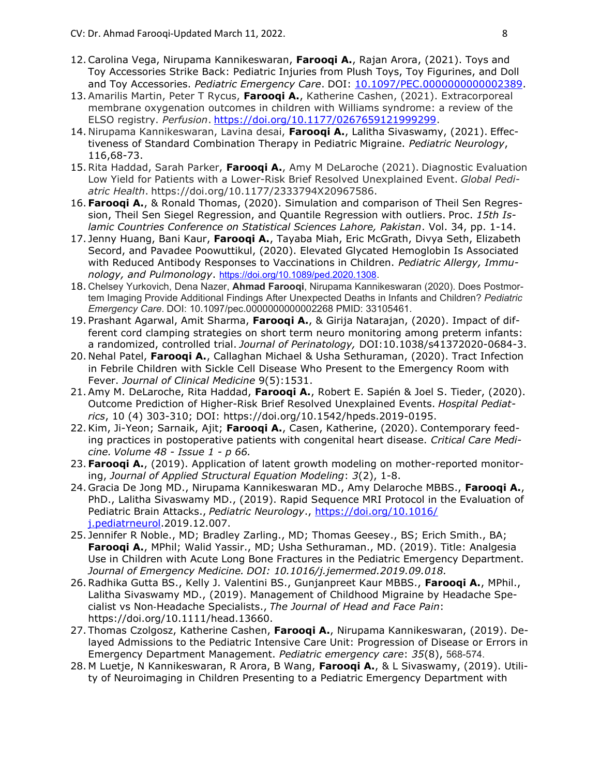- 12. Carolina Vega, Nirupama Kannikeswaran, Faroogi A., Rajan Arora, (2021). Toys and Toy Accessories Strike Back: Pediatric Injuries from Plush Toys, Toy Figurines, and Doll and Toy Accessories. Pediatric Emergency Care. DOI: 10.1097/PEC.0000000000002389.
- 13. Amarilis Martin, Peter T Rycus, Farooqi A., Katherine Cashen, (2021). Extracorporeal membrane oxygenation outcomes in children with Williams syndrome: a review of the ELSO registry. Perfusion. https://doi.org/10.1177/0267659121999299.
- 14. Nirupama Kannikeswaran, Lavina desai, Faroogi A., Lalitha Sivaswamy, (2021). Effectiveness of Standard Combination Therapy in Pediatric Migraine. Pediatric Neurology, 116,68-73.
- 15. Rita Haddad, Sarah Parker, Faroogi A., Amy M DeLaroche (2021). Diagnostic Evaluation Low Yield for Patients with a Lower-Risk Brief Resolved Unexplained Event. Global Pediatric Health. https://doi.org/10.1177/2333794X20967586.
- 16. Farooqi A., & Ronald Thomas, (2020). Simulation and comparison of Theil Sen Regression, Theil Sen Siegel Regression, and Quantile Regression with outliers. Proc. 15th Islamic Countries Conference on Statistical Sciences Lahore, Pakistan. Vol. 34, pp. 1-14.
- 17. Jenny Huang, Bani Kaur, Faroogi A., Tayaba Miah, Eric McGrath, Divya Seth, Elizabeth Secord, and Pavadee Poowuttikul, (2020). Elevated Glycated Hemoglobin Is Associated with Reduced Antibody Responses to Vaccinations in Children. Pediatric Allergy, Immunology, and Pulmonology. https://doi.org/10.1089/ped.2020.1308.
- 18. Chelsey Yurkovich, Dena Nazer, Ahmad Farooqi, Nirupama Kannikeswaran (2020). Does Postmortem Imaging Provide Additional Findings After Unexpected Deaths in Infants and Children? Pediatric Emergency Care. DOI: 10.1097/pec.0000000000002268 PMID: 33105461.
- 19. Prashant Agarwal, Amit Sharma, Faroogi A., & Girija Natarajan, (2020). Impact of different cord clamping strategies on short term neuro monitoring among preterm infants: a randomized, controlled trial. Journal of Perinatology, DOI:10.1038/s41372020-0684-3.
- 20. Nehal Patel, Faroogi A., Callaghan Michael & Usha Sethuraman, (2020). Tract Infection in Febrile Children with Sickle Cell Disease Who Present to the Emergency Room with Fever. Journal of Clinical Medicine 9(5):1531.
- 21. Amy M. DeLaroche, Rita Haddad, Faroogi A., Robert E. Sapién & Joel S. Tieder, (2020). Outcome Prediction of Higher-Risk Brief Resolved Unexplained Events. Hospital Pediatrics, 10 (4) 303-310; DOI: https://doi.org/10.1542/hpeds.2019-0195.
- 22. Kim, Ji-Yeon; Sarnaik, Ajit; Farooqi A., Casen, Katherine, (2020). Contemporary feeding practices in postoperative patients with congenital heart disease. Critical Care Medicine. Volume 48 - Issue 1 - p 66.
- 23. Farooqi A., (2019). Application of latent growth modeling on mother-reported monitoring, Journal of Applied Structural Equation Modeling: 3(2), 1-8.
- 24. Gracia De Jong MD., Nirupama Kannikeswaran MD., Amy Delaroche MBBS., Faroogi A., PhD., Lalitha Sivaswamy MD., (2019). Rapid Sequence MRI Protocol in the Evaluation of Pediatric Brain Attacks., Pediatric Neurology., https://doi.org/10.1016/ j.pediatrneurol.2019.12.007.
- 25. Jennifer R Noble., MD; Bradley Zarling., MD; Thomas Geesey., BS; Erich Smith., BA; Faroogi A., MPhil; Walid Yassir., MD; Usha Sethuraman., MD. (2019). Title: Analgesia Use in Children with Acute Long Bone Fractures in the Pediatric Emergency Department. Journal of Emergency Medicine. DOI: 10.1016/j.jemermed.2019.09.018.
- 26. Radhika Gutta BS., Kelly J. Valentini BS., Gunjanpreet Kaur MBBS., Faroogi A., MPhil., Lalitha Sivaswamy MD., (2019). Management of Childhood Migraine by Headache Specialist vs Non-Headache Specialists., The Journal of Head and Face Pain: https://doi.org/10.1111/head.13660.
- 27. Thomas Czolgosz, Katherine Cashen, Farooqi A., Nirupama Kannikeswaran, (2019). Delayed Admissions to the Pediatric Intensive Care Unit: Progression of Disease or Errors in Emergency Department Management. Pediatric emergency care: 35(8), 568-574.
- 28. M Luetje, N Kannikeswaran, R Arora, B Wang, Faroogi A., & L Sivaswamy, (2019). Utility of Neuroimaging in Children Presenting to a Pediatric Emergency Department with